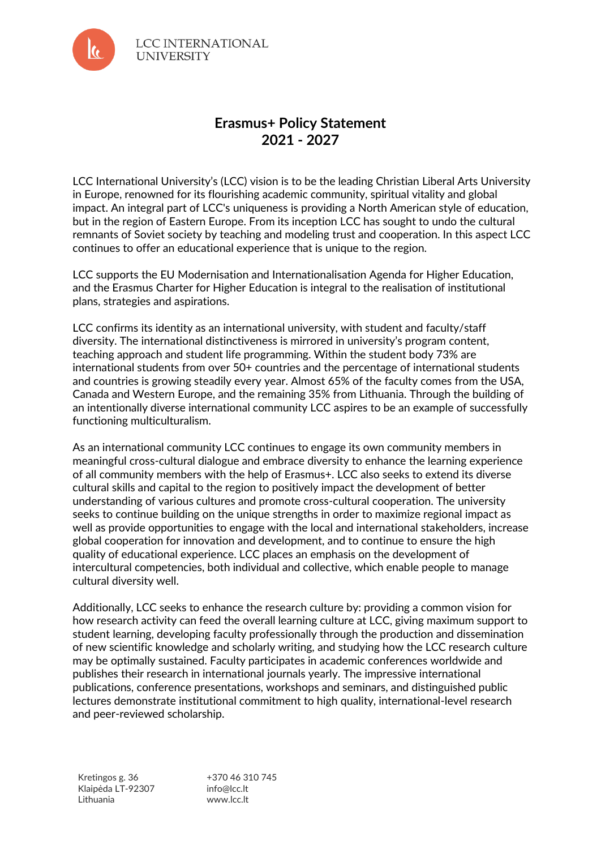

**LCC INTERNATIONAL UNIVERSITY** 

## **Erasmus+ Policy Statement 2021 - 2027**

LCC International University's (LCC) vision is to be the leading Christian Liberal Arts University in Europe, renowned for its flourishing academic community, spiritual vitality and global impact. An integral part of LCC's uniqueness is providing a North American style of education, but in the region of Eastern Europe. From its inception LCC has sought to undo the cultural remnants of Soviet society by teaching and modeling trust and cooperation. In this aspect LCC continues to offer an educational experience that is unique to the region.

LCC supports the EU Modernisation and Internationalisation Agenda for Higher Education, and the Erasmus Charter for Higher Education is integral to the realisation of institutional plans, strategies and aspirations.

LCC confirms its identity as an international university, with student and faculty/staff diversity. The international distinctiveness is mirrored in university's program content, teaching approach and student life programming. Within the student body 73% are international students from over 50+ countries and the percentage of international students and countries is growing steadily every year. Almost 65% of the faculty comes from the USA, Canada and Western Europe, and the remaining 35% from Lithuania. Through the building of an intentionally diverse international community LCC aspires to be an example of successfully functioning multiculturalism.

As an international community LCC continues to engage its own community members in meaningful cross-cultural dialogue and embrace diversity to enhance the learning experience of all community members with the help of Erasmus+. LCC also seeks to extend its diverse cultural skills and capital to the region to positively impact the development of better understanding of various cultures and promote cross-cultural cooperation. The university seeks to continue building on the unique strengths in order to maximize regional impact as well as provide opportunities to engage with the local and international stakeholders, increase global cooperation for innovation and development, and to continue to ensure the high quality of educational experience. LCC places an emphasis on the development of intercultural competencies, both individual and collective, which enable people to manage cultural diversity well.

Additionally, LCC seeks to enhance the research culture by: providing a common vision for how research activity can feed the overall learning culture at LCC, giving maximum support to student learning, developing faculty professionally through the production and dissemination of new scientific knowledge and scholarly writing, and studying how the LCC research culture may be optimally sustained. Faculty participates in academic conferences worldwide and publishes their research in international journals yearly. The impressive international publications, conference presentations, workshops and seminars, and distinguished public lectures demonstrate institutional commitment to high quality, international-level research and peer-reviewed scholarship.

Kretingos g. 36 Klaipėda LT-92307 Lithuania

+370 46 310 745 info@lcc.lt www.lcc.lt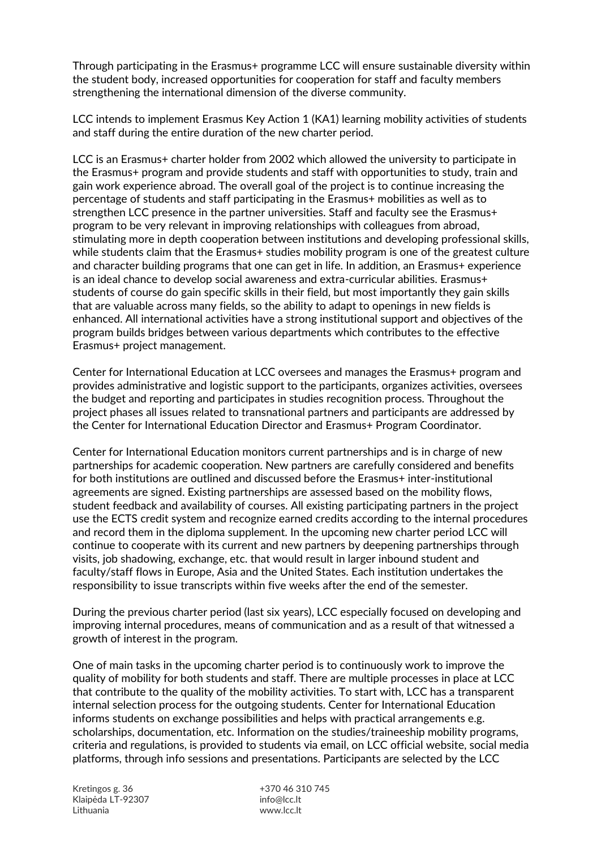Through participating in the Erasmus+ programme LCC will ensure sustainable diversity within the student body, increased opportunities for cooperation for staff and faculty members strengthening the international dimension of the diverse community.

LCC intends to implement Erasmus Key Action 1 (KA1) learning mobility activities of students and staff during the entire duration of the new charter period.

LCC is an Erasmus+ charter holder from 2002 which allowed the university to participate in the Erasmus+ program and provide students and staff with opportunities to study, train and gain work experience abroad. The overall goal of the project is to continue increasing the percentage of students and staff participating in the Erasmus+ mobilities as well as to strengthen LCC presence in the partner universities. Staff and faculty see the Erasmus+ program to be very relevant in improving relationships with colleagues from abroad, stimulating more in depth cooperation between institutions and developing professional skills, while students claim that the Erasmus+ studies mobility program is one of the greatest culture and character building programs that one can get in life. In addition, an Erasmus+ experience is an ideal chance to develop social awareness and extra-curricular abilities. Erasmus+ students of course do gain specific skills in their field, but most importantly they gain skills that are valuable across many fields, so the ability to adapt to openings in new fields is enhanced. All international activities have a strong institutional support and objectives of the program builds bridges between various departments which contributes to the effective Erasmus+ project management.

Center for International Education at LCC oversees and manages the Erasmus+ program and provides administrative and logistic support to the participants, organizes activities, oversees the budget and reporting and participates in studies recognition process. Throughout the project phases all issues related to transnational partners and participants are addressed by the Center for International Education Director and Erasmus+ Program Coordinator.

Center for International Education monitors current partnerships and is in charge of new partnerships for academic cooperation. New partners are carefully considered and benefits for both institutions are outlined and discussed before the Erasmus+ inter-institutional agreements are signed. Existing partnerships are assessed based on the mobility flows, student feedback and availability of courses. All existing participating partners in the project use the ECTS credit system and recognize earned credits according to the internal procedures and record them in the diploma supplement. In the upcoming new charter period LCC will continue to cooperate with its current and new partners by deepening partnerships through visits, job shadowing, exchange, etc. that would result in larger inbound student and faculty/staff flows in Europe, Asia and the United States. Each institution undertakes the responsibility to issue transcripts within five weeks after the end of the semester.

During the previous charter period (last six years), LCC especially focused on developing and improving internal procedures, means of communication and as a result of that witnessed a growth of interest in the program.

One of main tasks in the upcoming charter period is to continuously work to improve the quality of mobility for both students and staff. There are multiple processes in place at LCC that contribute to the quality of the mobility activities. To start with, LCC has a transparent internal selection process for the outgoing students. Center for International Education informs students on exchange possibilities and helps with practical arrangements e.g. scholarships, documentation, etc. Information on the studies/traineeship mobility programs, criteria and regulations, is provided to students via email, on LCC official website, social media platforms, through info sessions and presentations. Participants are selected by the LCC

Kretingos g. 36 Klaipėda LT-92307 Lithuania

+370 46 310 745 info@lcc.lt www.lcc.lt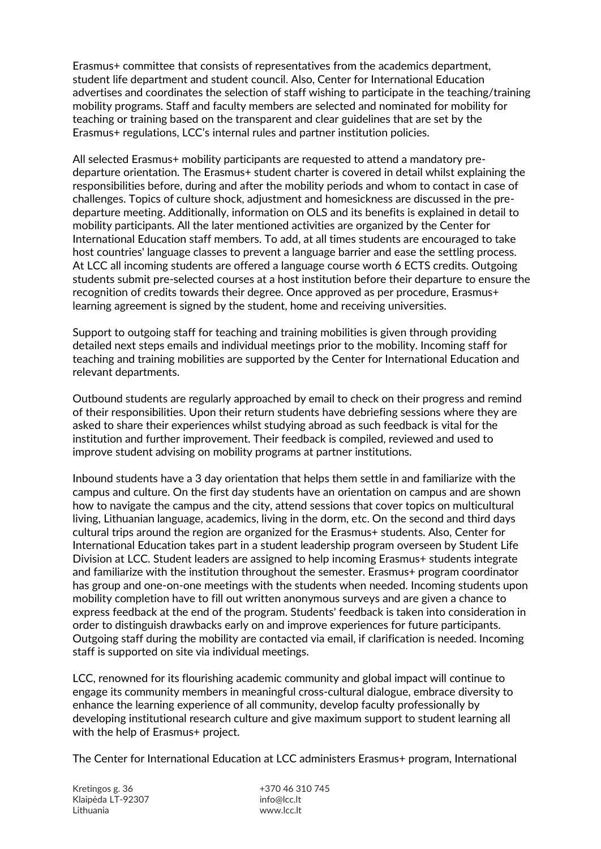Erasmus+ committee that consists of representatives from the academics department, student life department and student council. Also, Center for International Education advertises and coordinates the selection of staff wishing to participate in the teaching/training mobility programs. Staff and faculty members are selected and nominated for mobility for teaching or training based on the transparent and clear guidelines that are set by the Erasmus+ regulations, LCC's internal rules and partner institution policies.

All selected Erasmus+ mobility participants are requested to attend a mandatory predeparture orientation. The Erasmus+ student charter is covered in detail whilst explaining the responsibilities before, during and after the mobility periods and whom to contact in case of challenges. Topics of culture shock, adjustment and homesickness are discussed in the predeparture meeting. Additionally, information on OLS and its benefits is explained in detail to mobility participants. All the later mentioned activities are organized by the Center for International Education staff members. To add, at all times students are encouraged to take host countries' language classes to prevent a language barrier and ease the settling process. At LCC all incoming students are offered a language course worth 6 ECTS credits. Outgoing students submit pre-selected courses at a host institution before their departure to ensure the recognition of credits towards their degree. Once approved as per procedure, Erasmus+ learning agreement is signed by the student, home and receiving universities.

Support to outgoing staff for teaching and training mobilities is given through providing detailed next steps emails and individual meetings prior to the mobility. Incoming staff for teaching and training mobilities are supported by the Center for International Education and relevant departments.

Outbound students are regularly approached by email to check on their progress and remind of their responsibilities. Upon their return students have debriefing sessions where they are asked to share their experiences whilst studying abroad as such feedback is vital for the institution and further improvement. Their feedback is compiled, reviewed and used to improve student advising on mobility programs at partner institutions.

Inbound students have a 3 day orientation that helps them settle in and familiarize with the campus and culture. On the first day students have an orientation on campus and are shown how to navigate the campus and the city, attend sessions that cover topics on multicultural living, Lithuanian language, academics, living in the dorm, etc. On the second and third days cultural trips around the region are organized for the Erasmus+ students. Also, Center for International Education takes part in a student leadership program overseen by Student Life Division at LCC. Student leaders are assigned to help incoming Erasmus+ students integrate and familiarize with the institution throughout the semester. Erasmus+ program coordinator has group and one-on-one meetings with the students when needed. Incoming students upon mobility completion have to fill out written anonymous surveys and are given a chance to express feedback at the end of the program. Students' feedback is taken into consideration in order to distinguish drawbacks early on and improve experiences for future participants. Outgoing staff during the mobility are contacted via email, if clarification is needed. Incoming staff is supported on site via individual meetings.

LCC, renowned for its flourishing academic community and global impact will continue to engage its community members in meaningful cross-cultural dialogue, embrace diversity to enhance the learning experience of all community, develop faculty professionally by developing institutional research culture and give maximum support to student learning all with the help of Erasmus+ project.

The Center for International Education at LCC administers Erasmus+ program, International

Kretingos g. 36 Klaipėda LT-92307 Lithuania

+370 46 310 745 info@lcc.lt www.lcc.lt